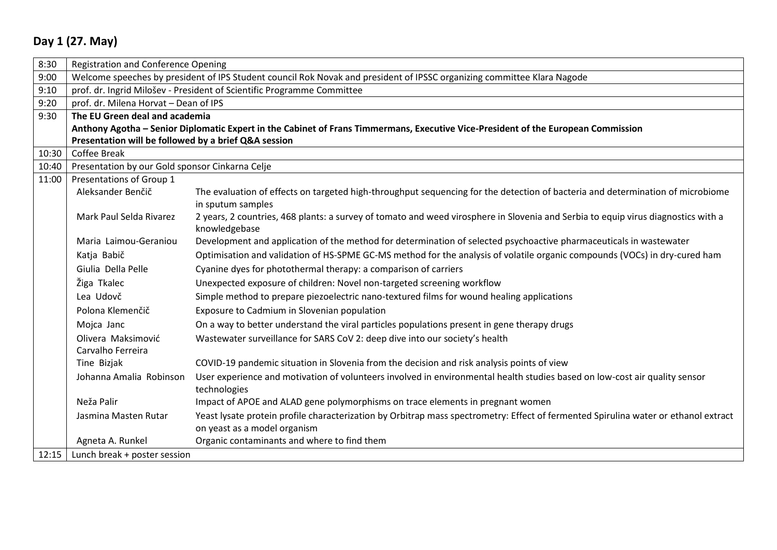## **Day 1 (27. May)**

| 8:30  | <b>Registration and Conference Opening</b>                                                                                        |                                                                                                                                                                     |  |
|-------|-----------------------------------------------------------------------------------------------------------------------------------|---------------------------------------------------------------------------------------------------------------------------------------------------------------------|--|
| 9:00  | Welcome speeches by president of IPS Student council Rok Novak and president of IPSSC organizing committee Klara Nagode           |                                                                                                                                                                     |  |
| 9:10  | prof. dr. Ingrid Milošev - President of Scientific Programme Committee                                                            |                                                                                                                                                                     |  |
| 9:20  | prof. dr. Milena Horvat - Dean of IPS                                                                                             |                                                                                                                                                                     |  |
| 9:30  | The EU Green deal and academia                                                                                                    |                                                                                                                                                                     |  |
|       | Anthony Agotha - Senior Diplomatic Expert in the Cabinet of Frans Timmermans, Executive Vice-President of the European Commission |                                                                                                                                                                     |  |
|       | Presentation will be followed by a brief Q&A session                                                                              |                                                                                                                                                                     |  |
| 10:30 | <b>Coffee Break</b>                                                                                                               |                                                                                                                                                                     |  |
| 10:40 | Presentation by our Gold sponsor Cinkarna Celje                                                                                   |                                                                                                                                                                     |  |
| 11:00 | Presentations of Group 1                                                                                                          |                                                                                                                                                                     |  |
|       | Aleksander Benčič                                                                                                                 | The evaluation of effects on targeted high-throughput sequencing for the detection of bacteria and determination of microbiome<br>in sputum samples                 |  |
|       | Mark Paul Selda Rivarez                                                                                                           | 2 years, 2 countries, 468 plants: a survey of tomato and weed virosphere in Slovenia and Serbia to equip virus diagnostics with a<br>knowledgebase                  |  |
|       | Maria Laimou-Geraniou                                                                                                             | Development and application of the method for determination of selected psychoactive pharmaceuticals in wastewater                                                  |  |
|       | Katja Babič                                                                                                                       | Optimisation and validation of HS-SPME GC-MS method for the analysis of volatile organic compounds (VOCs) in dry-cured ham                                          |  |
|       | Giulia Della Pelle                                                                                                                | Cyanine dyes for photothermal therapy: a comparison of carriers                                                                                                     |  |
|       | Žiga Tkalec                                                                                                                       | Unexpected exposure of children: Novel non-targeted screening workflow                                                                                              |  |
|       | Lea Udovč                                                                                                                         | Simple method to prepare piezoelectric nano-textured films for wound healing applications                                                                           |  |
|       | Polona Klemenčič                                                                                                                  | Exposure to Cadmium in Slovenian population                                                                                                                         |  |
|       | Mojca Janc                                                                                                                        | On a way to better understand the viral particles populations present in gene therapy drugs                                                                         |  |
|       | Olivera Maksimović<br>Carvalho Ferreira                                                                                           | Wastewater surveillance for SARS CoV 2: deep dive into our society's health                                                                                         |  |
|       | Tine Bizjak                                                                                                                       | COVID-19 pandemic situation in Slovenia from the decision and risk analysis points of view                                                                          |  |
|       | Johanna Amalia Robinson                                                                                                           | User experience and motivation of volunteers involved in environmental health studies based on low-cost air quality sensor<br>technologies                          |  |
|       | Neža Palir                                                                                                                        | Impact of APOE and ALAD gene polymorphisms on trace elements in pregnant women                                                                                      |  |
|       | Jasmina Masten Rutar                                                                                                              | Yeast lysate protein profile characterization by Orbitrap mass spectrometry: Effect of fermented Spirulina water or ethanol extract<br>on yeast as a model organism |  |
|       | Agneta A. Runkel                                                                                                                  | Organic contaminants and where to find them                                                                                                                         |  |
| 12:15 | Lunch break + poster session                                                                                                      |                                                                                                                                                                     |  |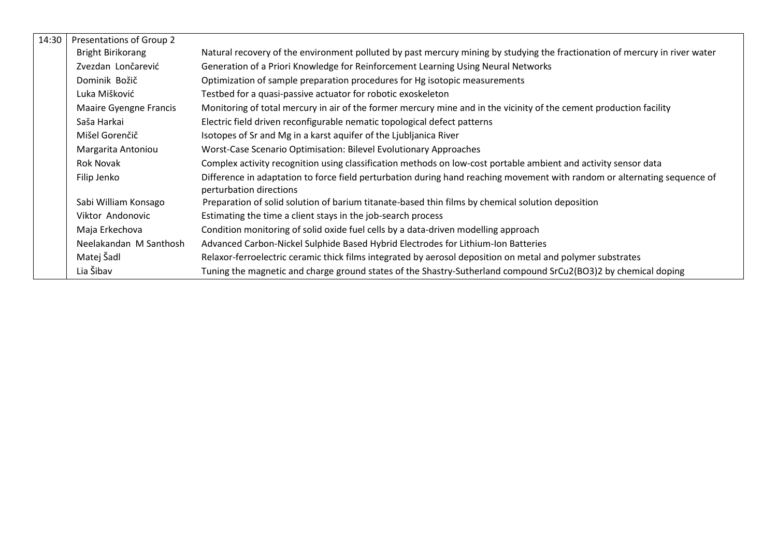| 14:30 | Presentations of Group 2      |                                                                                                                                                      |
|-------|-------------------------------|------------------------------------------------------------------------------------------------------------------------------------------------------|
|       | <b>Bright Birikorang</b>      | Natural recovery of the environment polluted by past mercury mining by studying the fractionation of mercury in river water                          |
|       | Zvezdan Lončarević            | Generation of a Priori Knowledge for Reinforcement Learning Using Neural Networks                                                                    |
|       | Dominik Božič                 | Optimization of sample preparation procedures for Hg isotopic measurements                                                                           |
|       | Luka Mišković                 | Testbed for a quasi-passive actuator for robotic exoskeleton                                                                                         |
|       | <b>Maaire Gyengne Francis</b> | Monitoring of total mercury in air of the former mercury mine and in the vicinity of the cement production facility                                  |
|       | Saša Harkai                   | Electric field driven reconfigurable nematic topological defect patterns                                                                             |
|       | Mišel Gorenčič                | Isotopes of Sr and Mg in a karst aquifer of the Ljubljanica River                                                                                    |
|       | Margarita Antoniou            | Worst-Case Scenario Optimisation: Bilevel Evolutionary Approaches                                                                                    |
|       | Rok Novak                     | Complex activity recognition using classification methods on low-cost portable ambient and activity sensor data                                      |
|       | Filip Jenko                   | Difference in adaptation to force field perturbation during hand reaching movement with random or alternating sequence of<br>perturbation directions |
|       | Sabi William Konsago          | Preparation of solid solution of barium titanate-based thin films by chemical solution deposition                                                    |
|       | Viktor Andonovic              | Estimating the time a client stays in the job-search process                                                                                         |
|       | Maja Erkechova                | Condition monitoring of solid oxide fuel cells by a data-driven modelling approach                                                                   |
|       | Neelakandan M Santhosh        | Advanced Carbon-Nickel Sulphide Based Hybrid Electrodes for Lithium-Ion Batteries                                                                    |
|       | Matej Šadl                    | Relaxor-ferroelectric ceramic thick films integrated by aerosol deposition on metal and polymer substrates                                           |
|       | Lia Šibav                     | Tuning the magnetic and charge ground states of the Shastry-Sutherland compound SrCu2(BO3)2 by chemical doping                                       |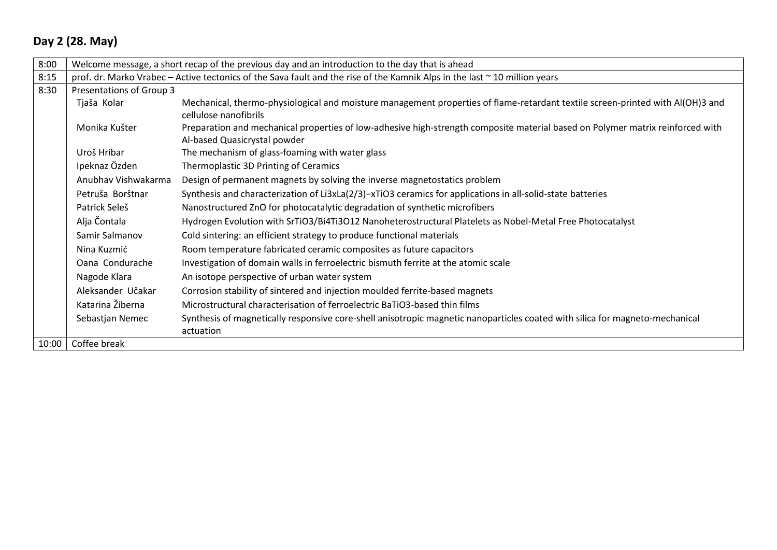## **Day 2 (28. May)**

| 8:00  | Welcome message, a short recap of the previous day and an introduction to the day that is ahead |                                                                                                                                 |  |  |
|-------|-------------------------------------------------------------------------------------------------|---------------------------------------------------------------------------------------------------------------------------------|--|--|
| 8:15  |                                                                                                 | prof. dr. Marko Vrabec – Active tectonics of the Sava fault and the rise of the Kamnik Alps in the last $\sim$ 10 million years |  |  |
| 8:30  | Presentations of Group 3                                                                        |                                                                                                                                 |  |  |
|       | Tjaša Kolar                                                                                     | Mechanical, thermo-physiological and moisture management properties of flame-retardant textile screen-printed with AI(OH)3 and  |  |  |
|       |                                                                                                 | cellulose nanofibrils                                                                                                           |  |  |
|       | Monika Kušter                                                                                   | Preparation and mechanical properties of low-adhesive high-strength composite material based on Polymer matrix reinforced with  |  |  |
|       |                                                                                                 | Al-based Quasicrystal powder                                                                                                    |  |  |
|       | Uroš Hribar                                                                                     | The mechanism of glass-foaming with water glass                                                                                 |  |  |
|       | Ipeknaz Özden                                                                                   | Thermoplastic 3D Printing of Ceramics                                                                                           |  |  |
|       | Anubhav Vishwakarma                                                                             | Design of permanent magnets by solving the inverse magnetostatics problem                                                       |  |  |
|       | Petruša Borštnar                                                                                | Synthesis and characterization of Li3xLa(2/3)-xTiO3 ceramics for applications in all-solid-state batteries                      |  |  |
|       | Patrick Seleš                                                                                   | Nanostructured ZnO for photocatalytic degradation of synthetic microfibers                                                      |  |  |
|       | Alja Čontala                                                                                    | Hydrogen Evolution with SrTiO3/Bi4Ti3O12 Nanoheterostructural Platelets as Nobel-Metal Free Photocatalyst                       |  |  |
|       | Samir Salmanov                                                                                  | Cold sintering: an efficient strategy to produce functional materials                                                           |  |  |
|       | Nina Kuzmić                                                                                     | Room temperature fabricated ceramic composites as future capacitors                                                             |  |  |
|       | Oana Condurache                                                                                 | Investigation of domain walls in ferroelectric bismuth ferrite at the atomic scale                                              |  |  |
|       | Nagode Klara                                                                                    | An isotope perspective of urban water system                                                                                    |  |  |
|       | Aleksander Učakar                                                                               | Corrosion stability of sintered and injection moulded ferrite-based magnets                                                     |  |  |
|       | Katarina Žiberna                                                                                | Microstructural characterisation of ferroelectric BaTiO3-based thin films                                                       |  |  |
|       | Sebastjan Nemec                                                                                 | Synthesis of magnetically responsive core-shell anisotropic magnetic nanoparticles coated with silica for magneto-mechanical    |  |  |
|       |                                                                                                 | actuation                                                                                                                       |  |  |
| 10:00 | Coffee break                                                                                    |                                                                                                                                 |  |  |